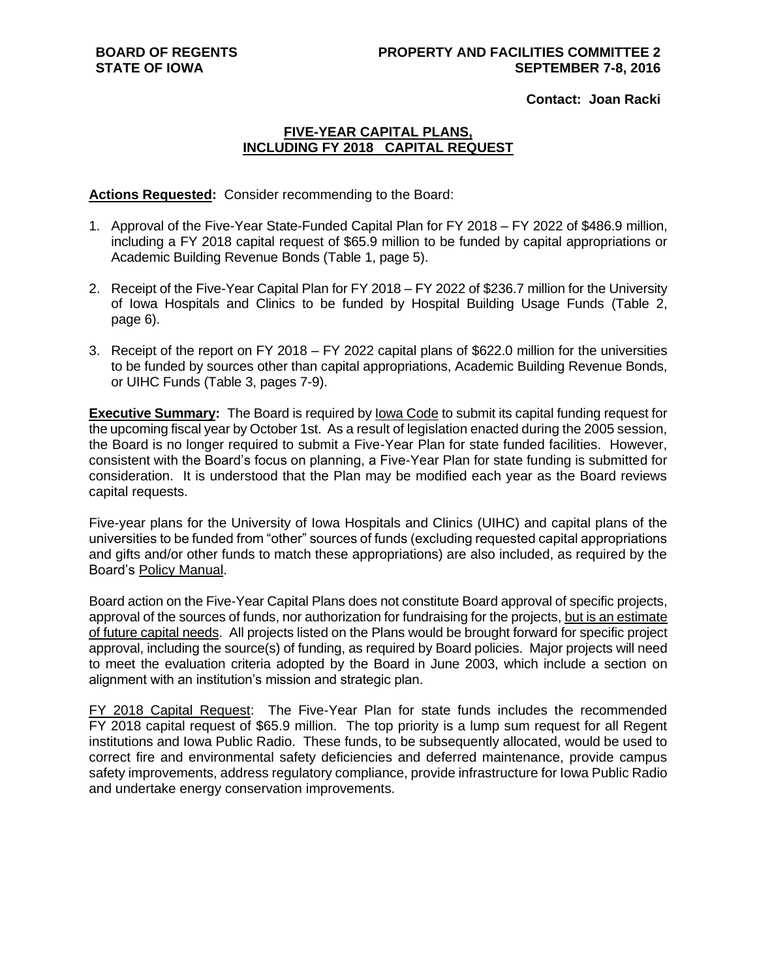**Contact: Joan Racki**

## **FIVE-YEAR CAPITAL PLANS, INCLUDING FY 2018 CAPITAL REQUEST**

**Actions Requested:** Consider recommending to the Board:

- 1. Approval of the Five-Year State-Funded Capital Plan for FY 2018 FY 2022 of \$486.9 million, including a FY 2018 capital request of \$65.9 million to be funded by capital appropriations or Academic Building Revenue Bonds (Table 1, page 5).
- 2. Receipt of the Five-Year Capital Plan for FY 2018 FY 2022 of \$236.7 million for the University of Iowa Hospitals and Clinics to be funded by Hospital Building Usage Funds (Table 2, page 6).
- 3. Receipt of the report on FY 2018 FY 2022 capital plans of \$622.0 million for the universities to be funded by sources other than capital appropriations, Academic Building Revenue Bonds, or UIHC Funds (Table 3, pages 7-9).

**Executive Summary:** The Board is required by Iowa Code to submit its capital funding request for the upcoming fiscal year by October 1st. As a result of legislation enacted during the 2005 session, the Board is no longer required to submit a Five-Year Plan for state funded facilities. However, consistent with the Board's focus on planning, a Five-Year Plan for state funding is submitted for consideration. It is understood that the Plan may be modified each year as the Board reviews capital requests.

Five-year plans for the University of Iowa Hospitals and Clinics (UIHC) and capital plans of the universities to be funded from "other" sources of funds (excluding requested capital appropriations and gifts and/or other funds to match these appropriations) are also included, as required by the Board's Policy Manual.

Board action on the Five-Year Capital Plans does not constitute Board approval of specific projects, approval of the sources of funds, nor authorization for fundraising for the projects, but is an estimate of future capital needs. All projects listed on the Plans would be brought forward for specific project approval, including the source(s) of funding, as required by Board policies. Major projects will need to meet the evaluation criteria adopted by the Board in June 2003, which include a section on alignment with an institution's mission and strategic plan.

FY 2018 Capital Request: The Five-Year Plan for state funds includes the recommended FY 2018 capital request of \$65.9 million. The top priority is a lump sum request for all Regent institutions and Iowa Public Radio. These funds, to be subsequently allocated, would be used to correct fire and environmental safety deficiencies and deferred maintenance, provide campus safety improvements, address regulatory compliance, provide infrastructure for Iowa Public Radio and undertake energy conservation improvements.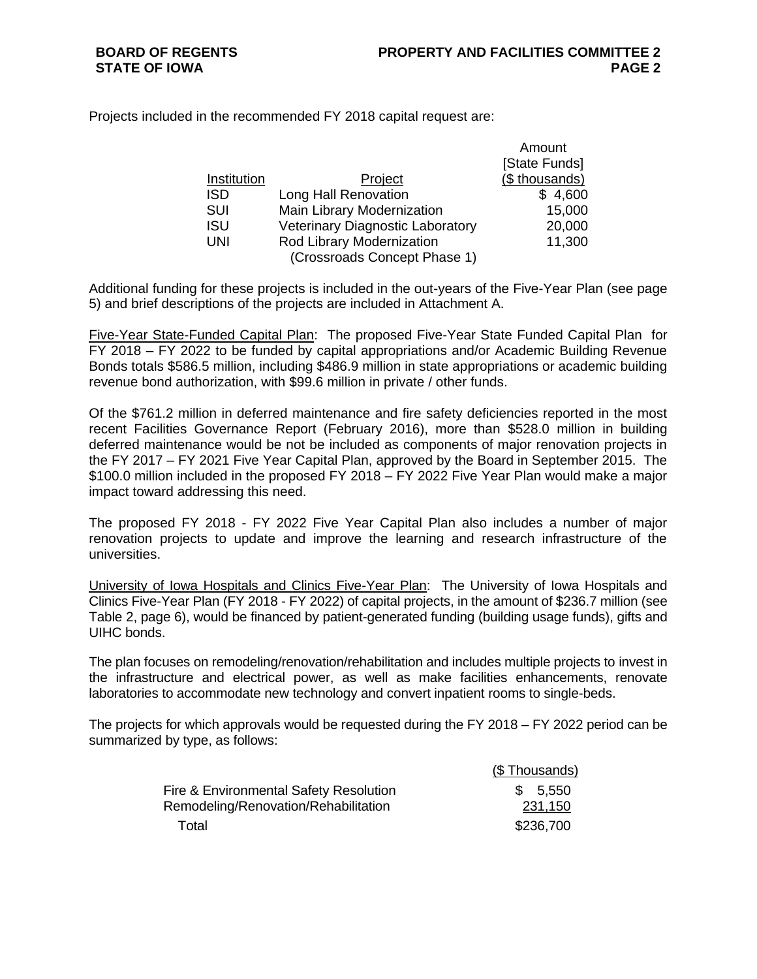Amount

Projects included in the recommended FY 2018 capital request are:

|             |                                         | Allioulit      |
|-------------|-----------------------------------------|----------------|
|             |                                         | [State Funds]  |
| Institution | Project                                 | (\$ thousands) |
| <b>ISD</b>  | Long Hall Renovation                    | \$4,600        |
| SUI         | <b>Main Library Modernization</b>       | 15,000         |
| ISU         | <b>Veterinary Diagnostic Laboratory</b> | 20,000         |
| UNI         | Rod Library Modernization               | 11,300         |
|             | (Crossroads Concept Phase 1)            |                |

Additional funding for these projects is included in the out-years of the Five-Year Plan (see page 5) and brief descriptions of the projects are included in Attachment A.

Five-Year State-Funded Capital Plan: The proposed Five-Year State Funded Capital Plan for FY 2018 – FY 2022 to be funded by capital appropriations and/or Academic Building Revenue Bonds totals \$586.5 million, including \$486.9 million in state appropriations or academic building revenue bond authorization, with \$99.6 million in private / other funds.

Of the \$761.2 million in deferred maintenance and fire safety deficiencies reported in the most recent Facilities Governance Report (February 2016), more than \$528.0 million in building deferred maintenance would be not be included as components of major renovation projects in the FY 2017 – FY 2021 Five Year Capital Plan, approved by the Board in September 2015. The \$100.0 million included in the proposed FY 2018 – FY 2022 Five Year Plan would make a major impact toward addressing this need.

The proposed FY 2018 - FY 2022 Five Year Capital Plan also includes a number of major renovation projects to update and improve the learning and research infrastructure of the universities.

University of Iowa Hospitals and Clinics Five-Year Plan: The University of Iowa Hospitals and Clinics Five-Year Plan (FY 2018 - FY 2022) of capital projects, in the amount of \$236.7 million (see Table 2, page 6), would be financed by patient-generated funding (building usage funds), gifts and UIHC bonds.

The plan focuses on remodeling/renovation/rehabilitation and includes multiple projects to invest in the infrastructure and electrical power, as well as make facilities enhancements, renovate laboratories to accommodate new technology and convert inpatient rooms to single-beds.

The projects for which approvals would be requested during the FY 2018 – FY 2022 period can be summarized by type, as follows:

|                                        | (\$ Thousands) |
|----------------------------------------|----------------|
| Fire & Environmental Safety Resolution | \$ 5.550       |
| Remodeling/Renovation/Rehabilitation   | 231,150        |
| Total                                  | \$236,700      |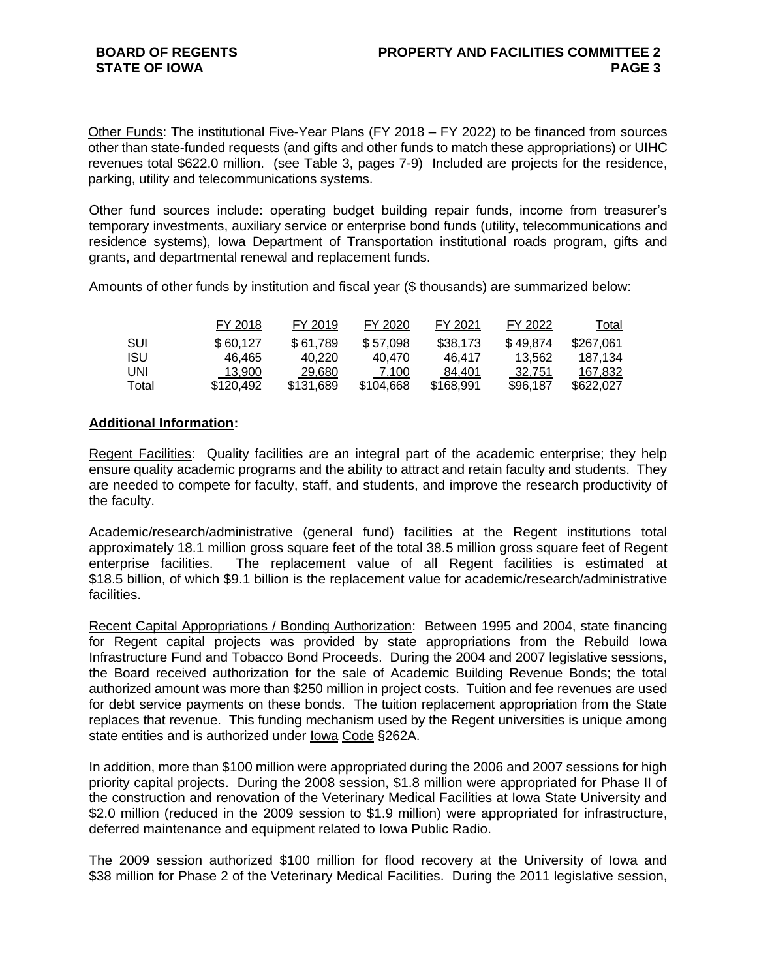Other Funds: The institutional Five-Year Plans (FY 2018 – FY 2022) to be financed from sources other than state-funded requests (and gifts and other funds to match these appropriations) or UIHC revenues total \$622.0 million. (see Table 3, pages 7-9) Included are projects for the residence, parking, utility and telecommunications systems.

Other fund sources include: operating budget building repair funds, income from treasurer's temporary investments, auxiliary service or enterprise bond funds (utility, telecommunications and residence systems), Iowa Department of Transportation institutional roads program, gifts and grants, and departmental renewal and replacement funds.

Amounts of other funds by institution and fiscal year (\$ thousands) are summarized below:

|            | FY 2018   | FY 2019   | FY 2020   | FY 2021   | FY 2022  | Total     |
|------------|-----------|-----------|-----------|-----------|----------|-----------|
| SUI        | \$60.127  | \$61.789  | \$57.098  | \$38,173  | \$49.874 | \$267.061 |
| <b>ISU</b> | 46.465    | 40.220    | 40.470    | 46.417    | 13.562   | 187.134   |
| UNI        | 13.900    | 29.680    | 7.100     | 84.401    | 32.751   | 167.832   |
| Total      | \$120.492 | \$131.689 | \$104.668 | \$168,991 | \$96.187 | \$622,027 |

### **Additional Information:**

Regent Facilities:Quality facilities are an integral part of the academic enterprise; they help ensure quality academic programs and the ability to attract and retain faculty and students. They are needed to compete for faculty, staff, and students, and improve the research productivity of the faculty.

Academic/research/administrative (general fund) facilities at the Regent institutions total approximately 18.1 million gross square feet of the total 38.5 million gross square feet of Regent enterprise facilities. The replacement value of all Regent facilities is estimated at \$18.5 billion, of which \$9.1 billion is the replacement value for academic/research/administrative facilities.

Recent Capital Appropriations / Bonding Authorization: Between 1995 and 2004, state financing for Regent capital projects was provided by state appropriations from the Rebuild Iowa Infrastructure Fund and Tobacco Bond Proceeds. During the 2004 and 2007 legislative sessions, the Board received authorization for the sale of Academic Building Revenue Bonds; the total authorized amount was more than \$250 million in project costs. Tuition and fee revenues are used for debt service payments on these bonds. The tuition replacement appropriation from the State replaces that revenue. This funding mechanism used by the Regent universities is unique among state entities and is authorized under Iowa Code §262A.

In addition, more than \$100 million were appropriated during the 2006 and 2007 sessions for high priority capital projects. During the 2008 session, \$1.8 million were appropriated for Phase II of the construction and renovation of the Veterinary Medical Facilities at Iowa State University and \$2.0 million (reduced in the 2009 session to \$1.9 million) were appropriated for infrastructure, deferred maintenance and equipment related to Iowa Public Radio.

The 2009 session authorized \$100 million for flood recovery at the University of Iowa and \$38 million for Phase 2 of the Veterinary Medical Facilities. During the 2011 legislative session,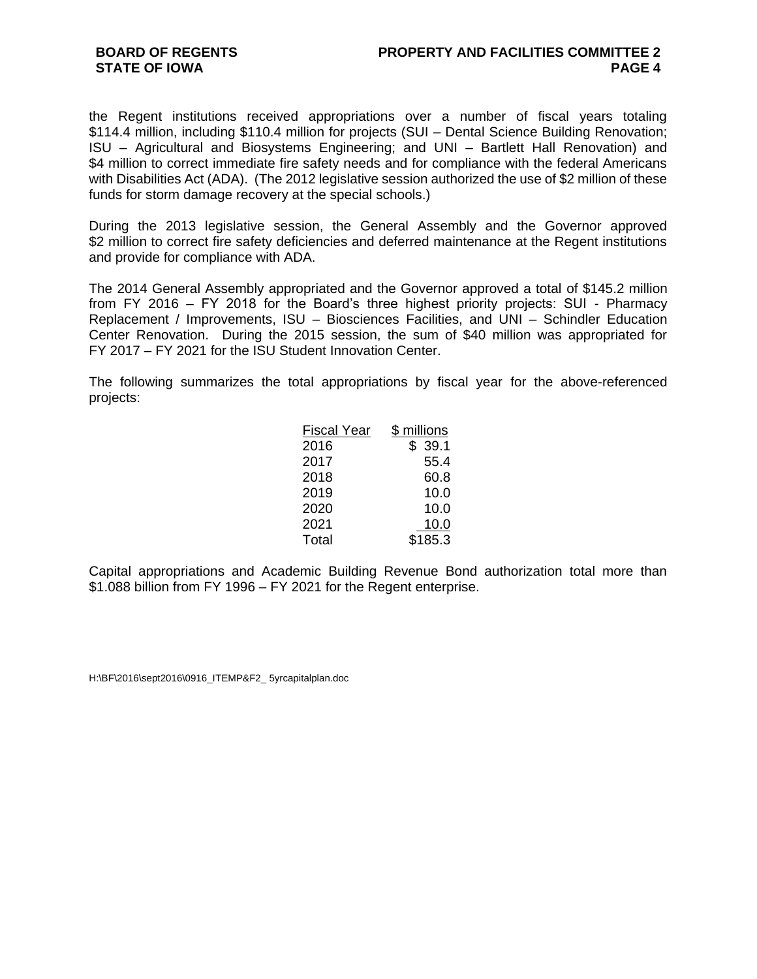the Regent institutions received appropriations over a number of fiscal years totaling \$114.4 million, including \$110.4 million for projects (SUI – Dental Science Building Renovation; ISU – Agricultural and Biosystems Engineering; and UNI – Bartlett Hall Renovation) and \$4 million to correct immediate fire safety needs and for compliance with the federal Americans with Disabilities Act (ADA). (The 2012 legislative session authorized the use of \$2 million of these funds for storm damage recovery at the special schools.)

During the 2013 legislative session, the General Assembly and the Governor approved \$2 million to correct fire safety deficiencies and deferred maintenance at the Regent institutions and provide for compliance with ADA.

The 2014 General Assembly appropriated and the Governor approved a total of \$145.2 million from FY 2016 – FY 2018 for the Board's three highest priority projects: SUI - Pharmacy Replacement / Improvements, ISU – Biosciences Facilities, and UNI – Schindler Education Center Renovation. During the 2015 session, the sum of \$40 million was appropriated for FY 2017 – FY 2021 for the ISU Student Innovation Center.

The following summarizes the total appropriations by fiscal year for the above-referenced projects:

| <b>Fiscal Year</b> | \$ millions |
|--------------------|-------------|
| 2016               | 39.1        |
| 2017               | 55.4        |
| 2018               | 60.8        |
| 2019               | 10.0        |
| 2020               | 10.0        |
| 2021               | 10.0        |
| Total              | \$185.3     |

Capital appropriations and Academic Building Revenue Bond authorization total more than \$1.088 billion from FY 1996 – FY 2021 for the Regent enterprise.

H:\BF\2016\sept2016\0916\_ITEMP&F2\_ 5yrcapitalplan.doc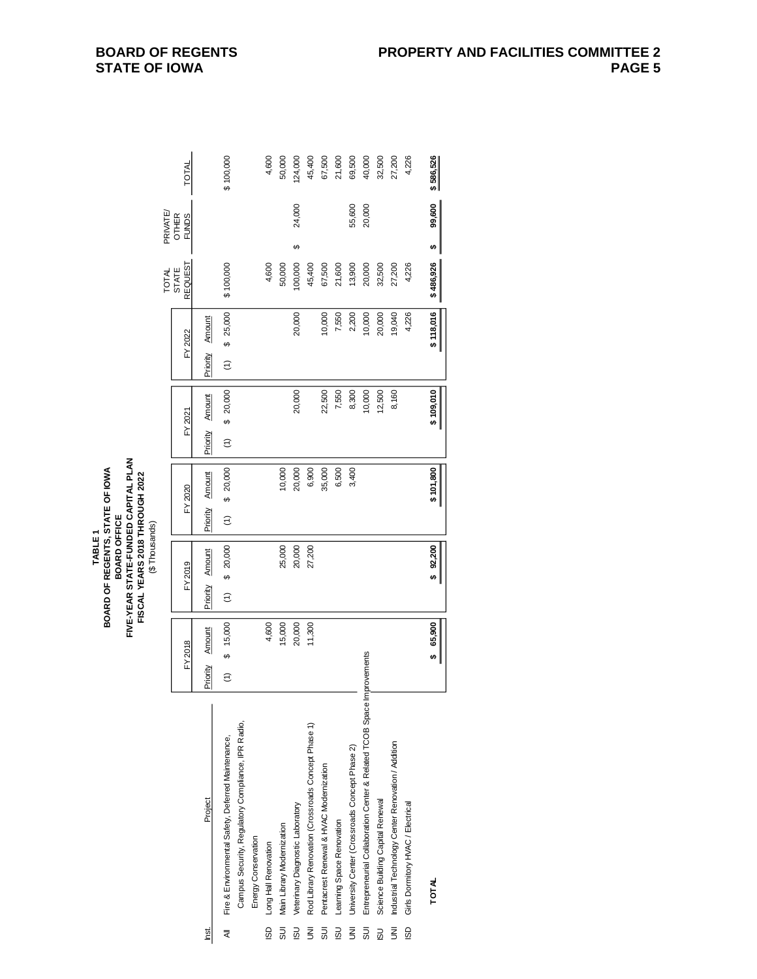| TABLE <sub>1</sub> | BOARD OF REGENTS, STATE OF IOWA<br><b>BOARD OFFICE</b> | FIVE-YEAR STATE-FUNDED CAPITAL PLAN | FISCAL YEARS 2018 THROUGH 2022 | (\$Thousands) |  |
|--------------------|--------------------------------------------------------|-------------------------------------|--------------------------------|---------------|--|

|                |                                                                        |           |              |                  |              |                                  |                  |               |               |              | <b>TOTAL</b>                   | PRIVATE                      |           |
|----------------|------------------------------------------------------------------------|-----------|--------------|------------------|--------------|----------------------------------|------------------|---------------|---------------|--------------|--------------------------------|------------------------------|-----------|
|                |                                                                        |           | FY 2018      |                  | FY 2019      | FY 2020                          |                  | FY 2021       |               | FY 2022      | <b>REQUEST</b><br><b>STATE</b> | <b>OTHER</b><br><b>FUNDS</b> | TOTAL     |
| led.           | Project                                                                | Priority  | Amount       | Priority         | Amount       | Amount<br>Priority               | Priority         | <b>Amount</b> | Priority      | Amount       |                                |                              |           |
| ₹              | Fire & Environmental Safety, Deferred Maintenance,                     | $\hat{c}$ | 15,000<br>မာ | $\widehat{\tau}$ | 20,000<br>မာ | \$20,000<br>$\widehat{\epsilon}$ | $\widehat{\tau}$ | 20,000<br>မာ  | $\widehat{z}$ | 25,000<br>မာ | \$100,000                      |                              | \$100,000 |
|                | Campus Security, Regulatory Compliance, IPR Radio,                     |           |              |                  |              |                                  |                  |               |               |              |                                |                              |           |
|                | Energy Conservation                                                    |           |              |                  |              |                                  |                  |               |               |              |                                |                              |           |
|                | ISD Long Hall Renovation                                               |           | 4,600        |                  |              |                                  |                  |               |               |              | 4,600                          |                              | 4,600     |
| 5<br>อิ        | Main Library Modernization                                             |           | 15,000       |                  | 25,000       | 10,000                           |                  |               |               |              | 50,000                         |                              | 50,000    |
| 30             | Veterinary Diagnostic Laboratory                                       |           | 20,000       |                  | 20,000       | 20,000                           |                  | 20,000        |               | 20,000       | 100,000                        | 24,000<br>↮                  | 124,000   |
| ξ              | Rod Library Renovation (Crossroads Concept Phase 1)                    |           | 11,300       |                  | 27,200       | 6,900                            |                  |               |               |              | 45,400                         |                              | 45,400    |
| 5U             | Pentacrest Renewal & HVAC Modernization                                |           |              |                  |              | 35,000                           |                  | 22,500        |               | 10,000       | 67,500                         |                              | 67,500    |
|                | ISU Learning Space Renovation                                          |           |              |                  |              | 6,500                            |                  | 7,550         |               | 7,550        | 21,600                         |                              | 21,600    |
| $\overline{5}$ | University Center (Crossroads Concept Phase 2)                         |           |              |                  |              | 3,400                            |                  | 8,300         |               | 2,200        | 13,900                         | 55,600                       | 69,500    |
| 5UI            | Entrepreneurial Collaboration Center & Related TCOB Space Improvements |           |              |                  |              |                                  |                  | 10,000        |               | 10,000       | 20,000                         | 20,000                       | 40,000    |
| <b>USI</b>     | Science Building Capital Renewal                                       |           |              |                  |              |                                  |                  | 12,500        |               | 20,000       | 32,500                         |                              | 32,500    |
| $\bar{z}$      | Industrial Technology Center Renovation / Addition                     |           |              |                  |              |                                  |                  | 8,160         |               | 19,040       | 27,200                         |                              | 27,200    |
| 6              | Girls Domitory HVAC / Electrical                                       |           |              |                  |              |                                  |                  |               |               | 4,226        | 4,226                          |                              | 4,226     |
|                |                                                                        |           |              |                  |              |                                  |                  |               |               |              |                                |                              |           |
|                | <b>TOTAL</b>                                                           |           | \$65,900     |                  | \$92,200     | \$101,800                        |                  | \$109,010     |               | \$118,016    | \$486,926                      | 99,600<br>tą,                | \$586,526 |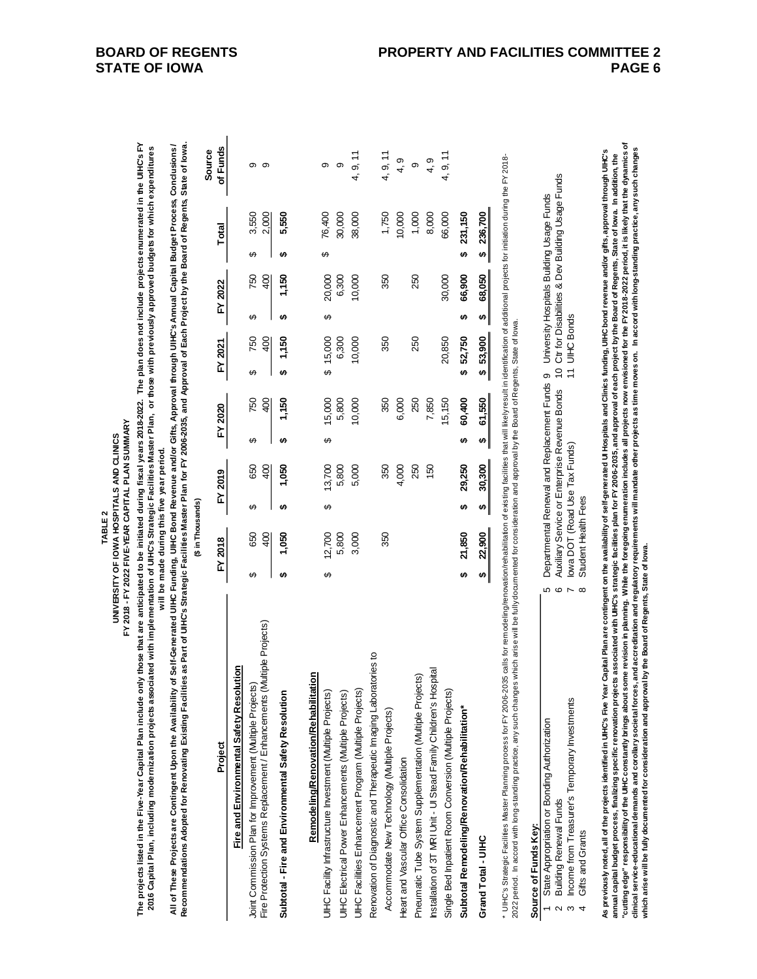| TABLE <sub>2</sub> | UNIVERSITY OF IOWA HOSPITALS AND CLINICS | FY 2018 - FY 2022 FIVE-YEAR CAPITAL PLAN SUMMARY |  |
|--------------------|------------------------------------------|--------------------------------------------------|--|
|                    |                                          |                                                  |  |

FY 2018

ARY

**The projects listed in the Five-Year Capital Plan include only those that are anticipated to be initiated during fiscal years 2018-2022. The plan does not include projects enumerated in the UIHC's FY**  The projects listed in the Five-Year Capital Plan include only those that are anticipated to be initiated during fiscal years 2018-2022. The plan does not include projects enumerated in the UIHC's FY 2016 Capital Plan, including modernization projects associated with implementation of UIHC's Strategic Facilities Master Plan, or those with previously approved budgets for which expenditures **2016 Capital Plan, including modernization projects associated with implementation of UIHC's Strategic Facilities Master Plan, or those with previously approved budgets for which expenditures**  will be made during this five year period. **will be made during this five year period.**

All of These Projects are Contingent Upon the Availability of Self-Generated UHC Funding, UIHC Bond Revenue and/or Gifts, Approval through UIHC's Annual Capital Budget Process, Conclusions /<br>Recommendations Adonted for Re **All of These Projects are Contingent Upon the Availability of Self-Generated UIHC Funding, UIHC Bond Revenue and/or Gifts, Approval through UIHC's Annual Capital Budget Process, Conclusions / Recommendations Adopted for Renovating Existing Facilities as Part of UIHC's Strategic Facilities Master Plan for FY 2006-2035, and Approval of Each Project by the Board of Regents, State of Iowa.**

|                                                                        | (\$ in Thousands) |         |   |         |   |         |             |        |         |             |    |         | <b>Source</b> |
|------------------------------------------------------------------------|-------------------|---------|---|---------|---|---------|-------------|--------|---------|-------------|----|---------|---------------|
| Project                                                                |                   | FY 2018 |   | FY 2019 |   | FY 2020 | FY 2021     |        | FY 2022 |             |    | Total   | of Funds      |
| Fire and Environmental Safety Resolution                               |                   |         |   |         |   |         |             |        |         |             |    |         |               |
| Joint Commission Plan for Improvement (Multiple Projects)              | ↮                 | 650     | ↔ | 650     | ↔ | 750     | ↔           | 750    | ↮       | 750         | ↔  | 3,550   | တ             |
| Fire Protection Systems Replacement / Enhancements (Multiple Projects) |                   | 400     |   | 400     |   | 400     |             | 400    |         | $rac{1}{2}$ |    | 2,000   | စ             |
| Subtotal - Fire and Environmental Safety Resolution                    | <del>ی</del>      | 1,050   | ക | 050     | ക | 1,150   | ക           | 1,150  |         | 1,150       | ക  | 5,550   |               |
| Remodeling/Renovation/Rehabilitation                                   |                   |         |   |         |   |         |             |        |         |             |    |         |               |
| UlHC Facility Infrastructure Investment (Multiple Projects)            | ↔                 | 12,700  | ↔ | 13,700  | ക | 15,000  | \$15,000    |        | ↔       | 20,000      | ക  | 76,400  | თ             |
| UIHC Electrical Power Enhancements (Multiple Projects)                 |                   | 5,800   |   | 5,800   |   | 5,800   |             | 6,300  |         | 6,300       |    | 30,000  | თ             |
| UlHC Facilities Enhancement Program (Multiple Projects)                |                   | 3,000   |   | 5,000   |   | 10,000  |             | 10,000 |         | 10,000      |    | 38,000  | 4, 9, 11      |
| Renovation of Diagnostic and Therapeutic Imaging Laboratories to       |                   |         |   |         |   |         |             |        |         |             |    |         |               |
| Accommodate New Technology (Multiple Projects)                         |                   | 350     |   | 350     |   | 350     |             | 350    |         | 350         |    | 1,750   | 4, 9, 11      |
| Heart and Vascular Office Consolidation                                |                   |         |   | 4,000   |   | 6,000   |             |        |         |             |    | 10,000  | 4, 9          |
| Pneumatic Tube System Supplementation (Multiple Projects)              |                   |         |   | 250     |   | 250     |             | 250    |         | 250         |    | 1,000   | တ             |
| Installation of 3T MRI Unit - UI Stead Family Children's Hospital      |                   |         |   | 150     |   | 7,850   |             |        |         |             |    | 8,000   | 4, 9          |
| Single Bed Inpatient Room Conversion (Multiple Projects)               |                   |         |   |         |   | 15,150  |             | 20,850 |         | 30,000      |    | 66,000  | 4, 9, 11      |
| Subtotal Remodeling/Renovation/Rehabilitation*                         | ↮                 | 21,850  | ↮ | 29,250  | ↮ | 60,400  | 52,750<br>ø |        | ↮       | 66,900      | မာ | 231,150 |               |
| Grand Total - UIHC                                                     | ↮                 | 22,900  | ↮ | 30,300  | ↮ | 61,550  | \$53,900    |        | ↮       | 68,050      | ↔  | 236,700 |               |

2022 period. In accord with long-standing practice, any such changes which arise will be fully documented for consideration and approval by the Board of Regents, State of Iowa. 2022 period. In accord with long-standing practice, any such changes which arise will be fully documented for consideration and approval by the Board of Regents, State of lowa.

| Õ |  |
|---|--|
|   |  |
|   |  |
|   |  |

|                     | Departmental Renewal and Replacement Funds 9 University Hospitals Building Usage Funds<br>ю | Auxiliary Service or Enterprise Revenue Bonds 10 Ctr for Disabilities & Dev Building Usage Funds | 11 UIHC Bonds<br>lowa DOT (Road Use Tax Funds)<br>۴ | Student Health Fees |
|---------------------|---------------------------------------------------------------------------------------------|--------------------------------------------------------------------------------------------------|-----------------------------------------------------|---------------------|
| ource of Funds Key: | State Appropriation or Bonding Authorization                                                | <b>Building Renewal Funds</b>                                                                    | ents<br>Income from Treasurer's Temporary Investme  | Gifts and Grants    |

amual capital budget process, finalizing specific renovation projects associated with UHC's strategic facilities plan for FY 2006-2035, and approval of each project by the Board of Regents, State of lowa. In addition, the<br> "cuttingedge" responsibility of the UHC constantly brings about some revision in planning. While the foregoing enumeration includes all projects now envisioned for the FY2018-2022 period, it is likely that the dynamics of **clinical service-educational demands and corollary societal forces, and accreditation and regulatory requirements will mandate other projects as time moves on. In accord with long-standing practice, any such changes**  As previously noted, all of the projects identified in UIHC's Five Year Capital Plan are contingent on the availability of self-generated UI Hospitals and Clinics funding, UIHC bond revenue and/or gifts, approval through U As proviously noted, all of the projects identified in UHC's Five projects including Year Capital Plan are contingent on the availability of self-generated UI Hospitals and Clinics funding, UIHC's proventing under gifts, a annual capital process, finalizing specific renovation projects associated with UHC's strategic facilities plan for FY 2006-2035, and approval of each project by the Board of Regents, State of low a. In addition, the **which arise will be fully documented for consideration and approval by the Board of Regents, State of Iowa.**  which arise will be fully documented for consideration and approval by the Board of Regents, State of low a.

 $\overline{1}$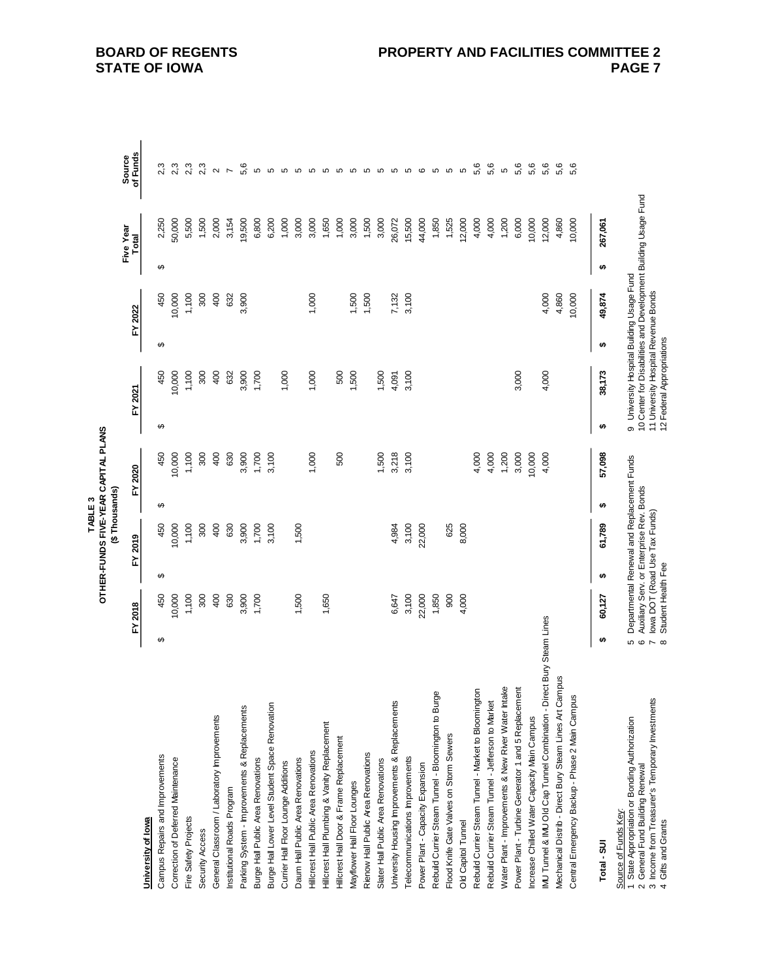|                                                                                                                                                                      |                                |                    |   |                                                                                                                         | TABLE <sub>3</sub> | OTHER-FUNDS FIVE-YEAR CAPITAL PLANS |          |                                                                                   |   |         |                                                                |                          |
|----------------------------------------------------------------------------------------------------------------------------------------------------------------------|--------------------------------|--------------------|---|-------------------------------------------------------------------------------------------------------------------------|--------------------|-------------------------------------|----------|-----------------------------------------------------------------------------------|---|---------|----------------------------------------------------------------|--------------------------|
|                                                                                                                                                                      |                                |                    |   | (\$Thousands)                                                                                                           |                    |                                     |          |                                                                                   |   |         |                                                                |                          |
|                                                                                                                                                                      |                                | FY 2018            |   | FY 2019                                                                                                                 |                    | FY 2020                             |          | FY 2021                                                                           |   | FY 2022 | Five Year<br>Total                                             | of Funds<br>Source       |
| University of lowa                                                                                                                                                   |                                |                    |   |                                                                                                                         |                    |                                     |          |                                                                                   |   |         |                                                                |                          |
| Campus Repairs and Improvements                                                                                                                                      | ↮                              | 450                | ↮ | 450                                                                                                                     | ↮                  | 450                                 | $\Theta$ | 450                                                                               | ↮ | 450     | 2,250<br>↮                                                     | 2,3                      |
| Correction of Deferred Maintenance                                                                                                                                   |                                | 10,000             |   | 10,000                                                                                                                  |                    | 10,000                              |          | 10,000                                                                            |   | 10,000  | 50,000                                                         | 2,3                      |
| Fire Safety Projects                                                                                                                                                 |                                | 1,100              |   | 1,100                                                                                                                   |                    | 1,100                               |          | 1,100                                                                             |   | 1,100   | 5,500                                                          | 2,3                      |
| Security Access                                                                                                                                                      |                                | 300                |   | 300                                                                                                                     |                    | 300                                 |          | 300                                                                               |   | 300     | 1,500                                                          | 2,3                      |
| General Classroom / Laboratory Improvements                                                                                                                          |                                | 400                |   | 400                                                                                                                     |                    | 400                                 |          | 400                                                                               |   | 400     | 2,000                                                          | $\sim$                   |
| Institutional Roads Program                                                                                                                                          |                                | 630                |   | 630                                                                                                                     |                    | 630                                 |          | 632                                                                               |   | 632     | 3,154                                                          | $\overline{\phantom{a}}$ |
| Parking System - Improvements & Replacements                                                                                                                         |                                | 3,900              |   | 3,900                                                                                                                   |                    | 3,900                               |          | 3,900                                                                             |   | 3,900   | 19,500                                                         | 5,6                      |
| Burge Hall Public Area Renovations                                                                                                                                   |                                | 1,700              |   | 1,700                                                                                                                   |                    | 1,700                               |          | 1,700                                                                             |   |         | 6,800                                                          | Ю                        |
| Burge Hall Lower Level Student Space Renovation                                                                                                                      |                                |                    |   | 3,100                                                                                                                   |                    | 3,100                               |          |                                                                                   |   |         | 6,200                                                          | $\mathbf 5$              |
| Currier Hall Floor Lounge Additions                                                                                                                                  |                                |                    |   |                                                                                                                         |                    |                                     |          | 1,000                                                                             |   |         | 1,000                                                          | 5                        |
| Daum Hall Public Area Renovations                                                                                                                                    |                                | 1,500              |   | 1,500                                                                                                                   |                    |                                     |          |                                                                                   |   |         | 3,000                                                          |                          |
| Hilcrest Hall Public Area Renovations                                                                                                                                |                                |                    |   |                                                                                                                         |                    | 1,000                               |          | 1,000                                                                             |   | 1,000   | 3,000                                                          | 6 6 6                    |
| Hillcrest Hall Plumbing & Vanity Replacement                                                                                                                         |                                | 1,650              |   |                                                                                                                         |                    |                                     |          |                                                                                   |   |         | 1,650                                                          |                          |
| Hillcrest Hall Door & Frame Replacement                                                                                                                              |                                |                    |   |                                                                                                                         |                    | 500                                 |          | 500                                                                               |   |         | 1,000                                                          |                          |
| Mayflower Hall Floor Lounges                                                                                                                                         |                                |                    |   |                                                                                                                         |                    |                                     |          | 1,500                                                                             |   | 1,500   | 3,000                                                          |                          |
| Rienow Hall Public Area Renovations                                                                                                                                  |                                |                    |   |                                                                                                                         |                    |                                     |          |                                                                                   |   | 1,500   | 1,500                                                          | 6 6 6 6                  |
| Slater Hall Public Area Renovations                                                                                                                                  |                                |                    |   |                                                                                                                         |                    | 1,500                               |          | 1,500                                                                             |   |         | 3,000                                                          |                          |
| University Housing Improvements & Replacements                                                                                                                       |                                | 6,647              |   | 4,984                                                                                                                   |                    | 3,218                               |          | 4,091                                                                             |   | 7,132   | 26,072                                                         |                          |
| Telecommunications Improvements                                                                                                                                      |                                | 3,100              |   | 3,100                                                                                                                   |                    | 3,100                               |          | 3,100                                                                             |   | 3,100   | 15,500                                                         | <b>5 5 6</b>             |
| Power Plant - Capacity Expansion                                                                                                                                     |                                | 22,000             |   | 22,000                                                                                                                  |                    |                                     |          |                                                                                   |   |         | 44,000                                                         |                          |
| Rebuild Currier Steam Tunnel - Bloomington to Burge                                                                                                                  |                                | 1,850              |   |                                                                                                                         |                    |                                     |          |                                                                                   |   |         | 1,850                                                          | 5                        |
| Flood Knife Gate Valves on Storm Sewers                                                                                                                              |                                | 900                |   | 625                                                                                                                     |                    |                                     |          |                                                                                   |   |         | 1,525                                                          | Б                        |
| Old Capitol Tunnel                                                                                                                                                   |                                | 4,000              |   | 8,000                                                                                                                   |                    |                                     |          |                                                                                   |   |         | 12,000                                                         | 5                        |
| Rebuild Currier Steam Tunnel - Market to Bloomington                                                                                                                 |                                |                    |   |                                                                                                                         |                    | 4,000                               |          |                                                                                   |   |         | 4,000                                                          | 5,6                      |
| Rebuild Currier Steam Tunnel - Jefferson to Market                                                                                                                   |                                |                    |   |                                                                                                                         |                    | 4,000                               |          |                                                                                   |   |         | 4,000                                                          | 5,6                      |
| Water Plant - Improvements & New River Water Intake                                                                                                                  |                                |                    |   |                                                                                                                         |                    | 1,200                               |          |                                                                                   |   |         | 1,200                                                          | 5                        |
| Power Plant - Turbine Generator 1 and 5 Replacemer                                                                                                                   |                                |                    |   |                                                                                                                         |                    | 3,000                               |          | 3,000                                                                             |   |         | 6,000                                                          | 5,6                      |
| Increase Chilled Water Capacity Main Campus                                                                                                                          |                                |                    |   |                                                                                                                         |                    | 10,000                              |          |                                                                                   |   |         | 10,000                                                         | 5,6                      |
| MU Tunnel & MU Old Cap Tunnel Combination - Direct Bury Steam Lines                                                                                                  |                                |                    |   |                                                                                                                         |                    | 4,000                               |          | 4,000                                                                             |   | 4,000   | 12,000                                                         | 5,6                      |
| Mechanical Distrib - Direct Bury Steam Lines Art Campus                                                                                                              |                                |                    |   |                                                                                                                         |                    |                                     |          |                                                                                   |   | 4,860   | 4,860                                                          | 5,6                      |
| Central Emergency Backup - Phase 2 Main Campus                                                                                                                       |                                |                    |   |                                                                                                                         |                    |                                     |          |                                                                                   |   | 10,000  | 10,000                                                         | 5,6                      |
| Total - SUI                                                                                                                                                          | ↮                              | 60,127             | ↮ | 61,789                                                                                                                  | ↮                  | 57,098                              | ↮        | 38,173                                                                            | ↮ | 49,874  | 267,061<br>$\bullet$                                           |                          |
| 3 Income from Treasurer's Temporary Investments<br>1 State Appropriation or Bonding Authorization<br>General Fund Building Renewal<br>Source of Funds Key:<br>$\sim$ | 66<br>$\overline{\phantom{a}}$ |                    |   | Departmental Renewal and Replacement Funds<br>Auxiliary Serv. or Enterprise Rev. Bonds<br>lowa DOT (Road Use Tax Funds) |                    |                                     |          | 9 University Hospital Building Usage Fund<br>11 University Hospital Revenue Bonds |   |         | 10 Center for Disabilities and Development Building Usage Fund |                          |
| Gifts and Grants<br>$\downarrow$                                                                                                                                     | $\infty$                       | Student Health Fee |   |                                                                                                                         |                    |                                     |          | 12 Federal Appropriations                                                         |   |         |                                                                |                          |

**PAGE 7**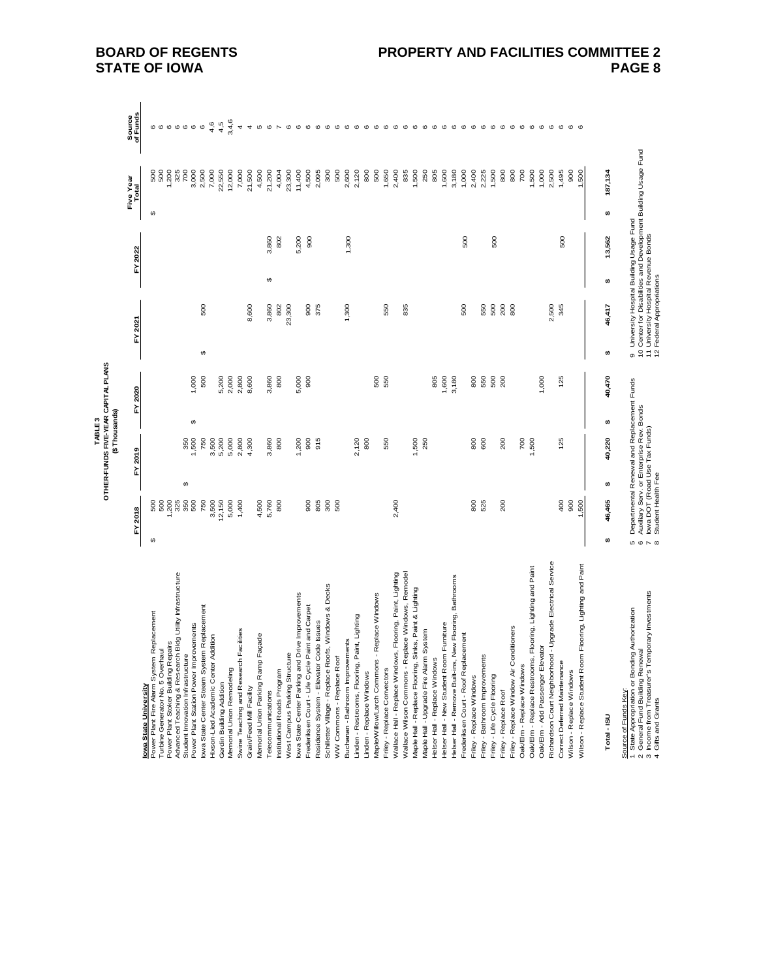|                                                                                  |               |                                                                           |          | (\$Thousands)<br>TABLE <sub>3</sub> |   | OTHER-FUNDS FIVE-YEAR CAPITAL PLANS |                        |                                                                   |   |         |   |                                                                                                             |                    |
|----------------------------------------------------------------------------------|---------------|---------------------------------------------------------------------------|----------|-------------------------------------|---|-------------------------------------|------------------------|-------------------------------------------------------------------|---|---------|---|-------------------------------------------------------------------------------------------------------------|--------------------|
|                                                                                  |               | FY 2018                                                                   | ŗ        | 2019                                |   | FY 2020                             |                        | FY 2021                                                           |   | FY 2022 |   | Five Year<br>Total                                                                                          | Source<br>of Funds |
| Iowa State University                                                            |               |                                                                           |          |                                     |   |                                     |                        |                                                                   |   |         |   |                                                                                                             |                    |
| Replacement<br>Turbine Generator No. 5 Overhaul<br>Power Plant Fire Alarm System | ↮             | 500<br>500                                                                |          |                                     |   |                                     |                        |                                                                   |   |         | ↮ | 500<br>500                                                                                                  | ဖ ဖ ဖ              |
| Power Plant Stoker Building Repairs                                              |               | 200                                                                       |          |                                     |   |                                     |                        |                                                                   |   |         |   | 200                                                                                                         |                    |
| Bidg Utility Infrastructure<br>Advanced Teaching & Research                      |               | 325                                                                       |          |                                     |   |                                     |                        |                                                                   |   |         |   | 325                                                                                                         | $\mathbf 0$        |
| Student Innovation Infrastructure                                                |               |                                                                           | $\theta$ |                                     |   |                                     |                        |                                                                   |   |         |   | 700                                                                                                         |                    |
| Power Plant Station Power Improvements                                           |               | 350<br>500                                                                |          | 350<br>1,500                        | ↮ | 1,000                               |                        |                                                                   |   |         |   | 3,000                                                                                                       | $\circ$            |
| lowa State Center Steam System Replacement                                       |               | 750                                                                       |          | 750                                 |   | 500                                 | $\boldsymbol{\varphi}$ | 500                                                               |   |         |   | 2,500                                                                                                       | $\mathbf  \circ$   |
| Hixson-Lied Academic Center Addition                                             |               | 3,500                                                                     |          | 3,500                               |   |                                     |                        |                                                                   |   |         |   | 7,000                                                                                                       | 4,6                |
| Gerdin Building Addition                                                         |               | 12,150                                                                    |          | 5,200                               |   | 5,200                               |                        |                                                                   |   |         |   | 22,550                                                                                                      | 4,5                |
| Memorial Union Remodeling                                                        |               | 5,000                                                                     |          | 5,000                               |   | 2,000                               |                        |                                                                   |   |         |   | 12,000                                                                                                      | 3,4,6              |
| acilities<br>Swine Teaching and Research F                                       |               | 1,400                                                                     |          | 2,800                               |   | 2,800                               |                        |                                                                   |   |         |   | 7,000                                                                                                       | 4                  |
| Grain/Feed Mill Facility                                                         |               |                                                                           |          | 4,300                               |   | 8,600                               |                        | 8,600                                                             |   |         |   | 21,500                                                                                                      | 4                  |
| Memorial Union Parking Ramp Façade                                               |               | 4,500                                                                     |          |                                     |   |                                     |                        |                                                                   |   |         |   | 4,500                                                                                                       | Б                  |
| Telecommunications                                                               |               | 5,760                                                                     |          | 3,860                               |   | 3,860                               |                        | 3,860                                                             | ↔ | 3,860   |   | 21,200                                                                                                      | $\circ$            |
| Institutional Roads Program                                                      |               | 800                                                                       |          | 800                                 |   | 800                                 |                        | 802                                                               |   | 802     |   | 4,004                                                                                                       | $\overline{ }$     |
| West Campus Parking Structure                                                    |               |                                                                           |          |                                     |   |                                     |                        | 23,300                                                            |   |         |   | 23,300                                                                                                      | $\mathbf{\circ}$   |
| lowa State Center Parking and Drive Improvements                                 |               |                                                                           |          | 1,200                               |   | 5,000                               |                        |                                                                   |   | 5,200   |   | 11,400                                                                                                      | $\mathbf{\circ}$   |
| Frederiksen Court - Life Cycle Paint and Carpet                                  |               | 800                                                                       |          | 900                                 |   | 900                                 |                        | 900                                                               |   | 900     |   | 4,500                                                                                                       | $\mathbf \circ$    |
| Residence System - Elevator Code Issues                                          |               | 805                                                                       |          | 915                                 |   |                                     |                        | 375                                                               |   |         |   | 2,095                                                                                                       | $\mathbf{\circ}$   |
| Schilletter Village - Replace Roofs, Windows & Decks                             |               | 300                                                                       |          |                                     |   |                                     |                        |                                                                   |   |         |   | 300                                                                                                         | $\mathbf{\circ}$   |
| WW Commons - Replace Roof                                                        |               | 500                                                                       |          |                                     |   |                                     |                        |                                                                   |   |         |   | 500                                                                                                         | $\circ$            |
| Buchanan - Bathroom Improvements                                                 |               |                                                                           |          |                                     |   |                                     |                        | 1,300                                                             |   | 1,300   |   | 2,600                                                                                                       | $\mathbf 0$        |
| Linden - Restrooms, Flooring, Paint, Lighting                                    |               |                                                                           |          | 2,120                               |   |                                     |                        |                                                                   |   |         |   | 2,120                                                                                                       | $\circ$            |
| Linden - Replace Windows                                                         |               |                                                                           |          | 800                                 |   |                                     |                        |                                                                   |   |         |   | 800                                                                                                         | $\pmb{\circ}$      |
| Replace Windows<br>Maple/Willow/Larch Commons                                    |               |                                                                           |          |                                     |   | 500                                 |                        |                                                                   |   |         |   | 500                                                                                                         | $\pmb{\circ}$      |
| Friley - Replace Convectors                                                      |               |                                                                           |          | 550                                 |   | 550                                 |                        | 550                                                               |   |         |   | 1,650                                                                                                       | $\mathbf 0$        |
| Wallace Hall - Replace Windows, Flooring, Paint, Lighting                        |               | 2,400                                                                     |          |                                     |   |                                     |                        |                                                                   |   |         |   | 2,400                                                                                                       | $\circ$            |
| Wallace Wilson Commons - Replace Windows, Remodel                                |               |                                                                           |          |                                     |   |                                     |                        | 835                                                               |   |         |   | 835                                                                                                         | $\mathbf \circ$    |
| Maple Hall - Replace Flooring, Sinks, Paint & Lighting                           |               |                                                                           |          | 1,500                               |   |                                     |                        |                                                                   |   |         |   | 1,500                                                                                                       | $\mathbf \omega$   |
|                                                                                  |               |                                                                           |          | 250                                 |   |                                     |                        |                                                                   |   |         |   | 250                                                                                                         | $\circ$            |
| Maple Hall - Upgrade Fire Alarm System                                           |               |                                                                           |          |                                     |   |                                     |                        |                                                                   |   |         |   |                                                                                                             |                    |
| Helser Hall - Replace Windows                                                    |               |                                                                           |          |                                     |   | 805                                 |                        |                                                                   |   |         |   | 805                                                                                                         | $\circ$            |
| Helser Hall - New Student Room Furniture                                         |               |                                                                           |          |                                     |   | 1,600                               |                        |                                                                   |   |         |   | 1,600                                                                                                       | $\circ$            |
| Helser Hall - Remove Built-ins, New Flooring, Bathrooms                          |               |                                                                           |          |                                     |   | 3,180                               |                        |                                                                   |   |         |   | 3,180                                                                                                       | $\mathbf \omega$   |
| Frederiksen Court - Roof Replacement                                             |               |                                                                           |          |                                     |   |                                     |                        | 500                                                               |   | 500     |   | 1,000                                                                                                       | $\circ$            |
| Friley - Replace Windows                                                         |               | 800                                                                       |          | 800                                 |   | 800                                 |                        |                                                                   |   |         |   | 2,400                                                                                                       | $\circ$            |
| Friley - Bathroom Improvements                                                   |               | 525                                                                       |          | 600                                 |   | 550                                 |                        | 550                                                               |   |         |   | 2,225                                                                                                       | $\circ$            |
| Friley - Life Cycle Flooring                                                     |               |                                                                           |          |                                     |   | 500                                 |                        | 500                                                               |   | 500     |   | 1,500                                                                                                       | $\mathbf \omega$   |
| Friley - Replace Roof                                                            |               | 200                                                                       |          | 200                                 |   | 200                                 |                        | 200                                                               |   |         |   | 800                                                                                                         | $\circ$            |
| Friley - Replace Window Air Conditioners                                         |               |                                                                           |          |                                     |   |                                     |                        | 800                                                               |   |         |   | 800                                                                                                         | $\circ$            |
| Oak/Elm - Replace Windows                                                        |               |                                                                           |          | $\overline{p}$                      |   |                                     |                        |                                                                   |   |         |   | 700                                                                                                         | $\circ$            |
| Flooring, Lighting and Paint<br>Oak/Elm - Replace Restrooms,                     |               |                                                                           |          | 1,500                               |   |                                     |                        |                                                                   |   |         |   | 1,500                                                                                                       | $\mathbf \omega$   |
| Oak/Elm - Add Passenger Elevator                                                 |               |                                                                           |          |                                     |   | 1,000                               |                        |                                                                   |   |         |   | 1,000                                                                                                       | $\mathbf{\circ}$   |
| Richardson Court Neighborhood - Upgrade Electrical Service                       |               |                                                                           |          |                                     |   |                                     |                        | 2,500                                                             |   |         |   | 2,500                                                                                                       | $\circ$            |
| Correct Deferred Maintenance                                                     |               | $rac{1}{2}$                                                               |          | 125                                 |   | 125                                 |                        | 345                                                               |   | 500     |   | 1,495                                                                                                       | $\mathbf{\circ}$   |
| Wilson - Replace Windows                                                         |               | 900                                                                       |          |                                     |   |                                     |                        |                                                                   |   |         |   | 800                                                                                                         | $\circ$            |
| Flooring, Lighting and Paint<br>Wilson - Replace Student Room                    |               | 500                                                                       |          |                                     |   |                                     |                        |                                                                   |   |         |   | 1,500                                                                                                       | $\mathbf c$        |
|                                                                                  |               |                                                                           |          |                                     |   |                                     |                        |                                                                   |   |         |   |                                                                                                             |                    |
| Total-ISU                                                                        | ↮             | 46,465                                                                    | ₩        | 40,220                              | ↮ | 40,470                              | ₩                      | 46,417                                                            | ₩ | 13,562  | ₩ | 187,134                                                                                                     |                    |
| Authorization<br>State Appropriation or Bonding<br>Source of Funds Key:          |               | Departmental Renewal and Replacement Funds                                |          |                                     |   |                                     |                        |                                                                   |   |         |   | 9 University Hospital Building Usage Fund<br>10 Center for Disabilities and Development Building Usage Fund |                    |
| General Fund Building Renewal<br>$\mathbf{\sim}$                                 | 6             | Auxiliary Serv. or Enterprise Rev. Bonds<br>lowa DOT (Road Use Tax Funds) |          |                                     |   |                                     |                        |                                                                   |   |         |   |                                                                                                             |                    |
| 3 Income from Treasurer's Temporary Investments<br>4 Gifts and Grants            | $\sim \infty$ | Student Health Fee                                                        |          |                                     |   |                                     |                        | 11 University Hospital Revenue Bonds<br>12 Federal Appropriations |   |         |   |                                                                                                             |                    |

4 Gifts and Grants and Grants 8 Student Health Fee 12 Federal Appropriations 8 Student Appropriations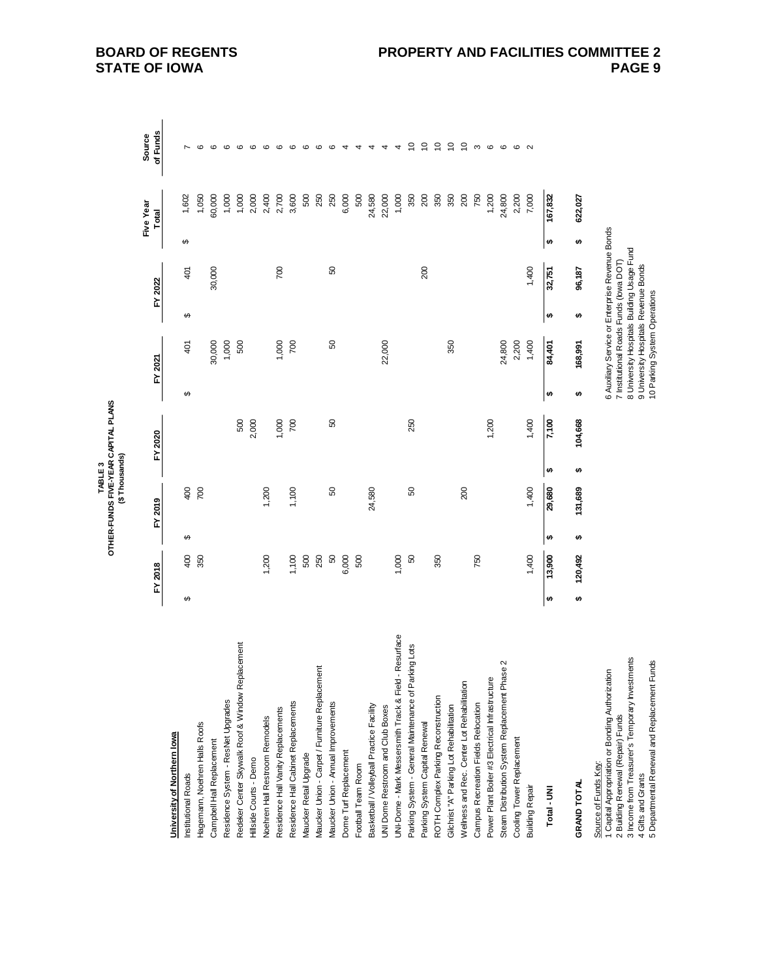| OTHER-FUNDS FIVE-YEAR CAPITAL PLANS<br>(\$Thousands)<br>TABLE <sub>3</sub> |  |
|----------------------------------------------------------------------------|--|
|----------------------------------------------------------------------------|--|

|                                                                                                                                                                                                                                  |   | FY 2018 |   | FY 2019 |   | FY 2020 |   | FY 2021                                                                                                                                                                                                         |   | FY 2022        |   | Five Year<br>Total | of Funds<br>Source |
|----------------------------------------------------------------------------------------------------------------------------------------------------------------------------------------------------------------------------------|---|---------|---|---------|---|---------|---|-----------------------------------------------------------------------------------------------------------------------------------------------------------------------------------------------------------------|---|----------------|---|--------------------|--------------------|
|                                                                                                                                                                                                                                  |   |         |   |         |   |         |   |                                                                                                                                                                                                                 |   |                |   |                    |                    |
| University of Northern lowa                                                                                                                                                                                                      |   |         |   |         |   |         |   |                                                                                                                                                                                                                 |   |                |   |                    |                    |
| Institutional Roads                                                                                                                                                                                                              | ↮ | 400     | ↮ | 400     |   |         | ↮ | $\frac{40}{1}$                                                                                                                                                                                                  | ↮ | $\frac{40}{1}$ | ↮ | 1,602              |                    |
| Hagemann, Noehren Halls Roofs                                                                                                                                                                                                    |   | 350     |   | 700     |   |         |   |                                                                                                                                                                                                                 |   |                |   | 1,050              |                    |
| Campbell Hall Replacement                                                                                                                                                                                                        |   |         |   |         |   |         |   | 30,000                                                                                                                                                                                                          |   | 30,000         |   | 60,000             | $\circ$            |
| Residence System - ResNet Upgrades                                                                                                                                                                                               |   |         |   |         |   |         |   | 1,000                                                                                                                                                                                                           |   |                |   | 1,000              | ဖ                  |
| Redeker Center Skywalk Roof & Window Replacement                                                                                                                                                                                 |   |         |   |         |   | 500     |   | 500                                                                                                                                                                                                             |   |                |   | 1,000              | $\circ$            |
| Hillside Courts - Demo                                                                                                                                                                                                           |   |         |   |         |   | 2,000   |   |                                                                                                                                                                                                                 |   |                |   | 2,000              |                    |
| <b>Voehren Hall Restroom Remodels</b>                                                                                                                                                                                            |   | 1,200   |   | 1,200   |   |         |   |                                                                                                                                                                                                                 |   |                |   | 2,400              |                    |
| Residence Hall Vanity Replacements                                                                                                                                                                                               |   |         |   |         |   | 1,000   |   | 1,000                                                                                                                                                                                                           |   | 700            |   | 2,700              | $\circ$            |
| Residence Hall Cabinet Replacements                                                                                                                                                                                              |   | 1,100   |   | 1,100   |   | 700     |   | 700                                                                                                                                                                                                             |   |                |   | 3,600              | ဖ                  |
| Maucker Retail Upgrade                                                                                                                                                                                                           |   | 500     |   |         |   |         |   |                                                                                                                                                                                                                 |   |                |   | 500                | ဖ                  |
| Maucker Union - Carpet / Furniture Replacement                                                                                                                                                                                   |   | 250     |   |         |   |         |   |                                                                                                                                                                                                                 |   |                |   | 250                | $\circ$            |
| Maucker Union - Annual Improvements                                                                                                                                                                                              |   | S       |   | 8       |   | 50      |   | SO                                                                                                                                                                                                              |   | SO             |   | 250                | ဖ                  |
| Dome Turf Replacement                                                                                                                                                                                                            |   | 6,000   |   |         |   |         |   |                                                                                                                                                                                                                 |   |                |   | 6,000              | 4                  |
| Football Team Room                                                                                                                                                                                                               |   | 500     |   |         |   |         |   |                                                                                                                                                                                                                 |   |                |   | 500                | 4                  |
| Basketball / Volleyball Practice Facility                                                                                                                                                                                        |   |         |   | 24,580  |   |         |   |                                                                                                                                                                                                                 |   |                |   | 24,580             |                    |
| UNI Dome Restroom and Club Boxes                                                                                                                                                                                                 |   |         |   |         |   |         |   | 22,000                                                                                                                                                                                                          |   |                |   | 22,000             | 4                  |
| Resurface<br>UNI-Dome - Mark Messersmith Track & Field - I                                                                                                                                                                       |   | 1,000   |   |         |   |         |   |                                                                                                                                                                                                                 |   |                |   | 1,000              | 4                  |
| Parking System - General Maintenance of Parking Lots                                                                                                                                                                             |   | 50      |   | 8       |   | 250     |   |                                                                                                                                                                                                                 |   |                |   | 350                | $\tilde{c}$        |
| Parking System Capital Renewal                                                                                                                                                                                                   |   |         |   |         |   |         |   |                                                                                                                                                                                                                 |   | 200            |   | 200                | $\overline{c}$     |
| ROTH Complex Parking Reconstruction                                                                                                                                                                                              |   | 350     |   |         |   |         |   |                                                                                                                                                                                                                 |   |                |   | 350                | $\tilde{c}$        |
| Gilchrist "A" Parking Lot Rehabilitation                                                                                                                                                                                         |   |         |   |         |   |         |   | 350                                                                                                                                                                                                             |   |                |   | 350                | $\tilde{c}$        |
| Wellness and Rec. Center Lot Rehabilitation                                                                                                                                                                                      |   |         |   | 200     |   |         |   |                                                                                                                                                                                                                 |   |                |   | 200                | $\tilde{c}$        |
| Campus Recreation Fields Relocation                                                                                                                                                                                              |   | 750     |   |         |   |         |   |                                                                                                                                                                                                                 |   |                |   | 750                | S                  |
| Power Plant Boiler #3 Electrical Infrastructure                                                                                                                                                                                  |   |         |   |         |   | 1,200   |   |                                                                                                                                                                                                                 |   |                |   | 1,200              | $\circ$            |
| Steam Distribution System Replacement Phase 2                                                                                                                                                                                    |   |         |   |         |   |         |   | 24,800                                                                                                                                                                                                          |   |                |   | 24,800             | ဖ                  |
| Cooling Tower Replacement                                                                                                                                                                                                        |   |         |   |         |   |         |   | 2,200                                                                                                                                                                                                           |   |                |   | 2,200              | G                  |
| <b>Building Repair</b>                                                                                                                                                                                                           |   | 1,400   |   | 1,400   |   | 1,400   |   | 1,400                                                                                                                                                                                                           |   | 1,400          |   | 7,000              | $\sim$             |
| Total - UNI                                                                                                                                                                                                                      | Ð | 13,900  | ₩ | 29,680  | ₩ | 7,100   | ₩ | 84,401                                                                                                                                                                                                          | ₩ | 32,751         | ₩ | 167,832            |                    |
| GRAND TOTAL                                                                                                                                                                                                                      | ₩ | 120,492 | ₩ | 131,689 | ₩ | 104,668 | ₩ | 168,991                                                                                                                                                                                                         | ₩ | 96,187         | ₩ | 622,027            |                    |
| 3 Income from Treasurer's Temporary Investments<br>Departmental Renewal and Replacement Funds<br>1 Capital Appropriation or Bonding Authorization<br>Building Renewal (Repair) Funds<br>Source of Funds Key:<br>Gifts and Grants |   |         |   |         |   |         |   | 6 Auxiliary Service or Enterprise Revenue Bonds<br>8 University Hospitals Building Usage Fund<br>7 Institutional Roads Funds (lowa DOT)<br>9 University Hospitals Revenue Bonds<br>10 Parking System Operations |   |                |   |                    |                    |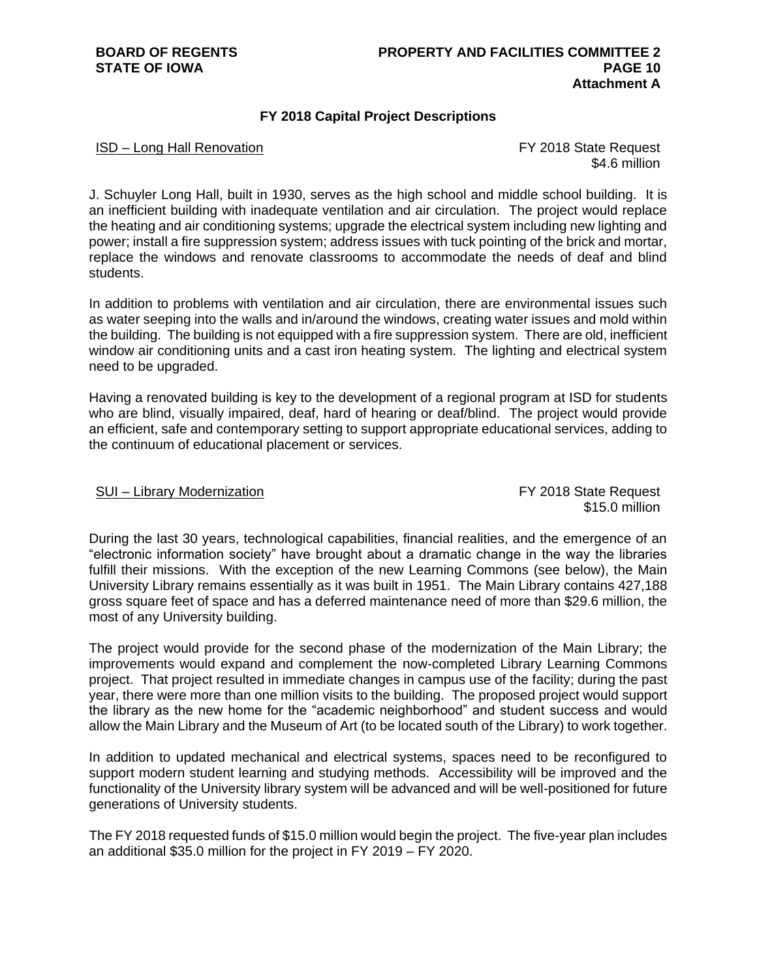## **FY 2018 Capital Project Descriptions**

## ISD – Long Hall Renovation FY 2018 State Request

\$4.6 million

J. Schuyler Long Hall, built in 1930, serves as the high school and middle school building. It is an inefficient building with inadequate ventilation and air circulation. The project would replace the heating and air conditioning systems; upgrade the electrical system including new lighting and power; install a fire suppression system; address issues with tuck pointing of the brick and mortar, replace the windows and renovate classrooms to accommodate the needs of deaf and blind students.

In addition to problems with ventilation and air circulation, there are environmental issues such as water seeping into the walls and in/around the windows, creating water issues and mold within the building. The building is not equipped with a fire suppression system. There are old, inefficient window air conditioning units and a cast iron heating system. The lighting and electrical system need to be upgraded.

Having a renovated building is key to the development of a regional program at ISD for students who are blind, visually impaired, deaf, hard of hearing or deaf/blind. The project would provide an efficient, safe and contemporary setting to support appropriate educational services, adding to the continuum of educational placement or services.

### SUI – Library Modernization **FY 2018** State Request

\$15.0 million

During the last 30 years, technological capabilities, financial realities, and the emergence of an "electronic information society" have brought about a dramatic change in the way the libraries fulfill their missions. With the exception of the new Learning Commons (see below), the Main University Library remains essentially as it was built in 1951. The Main Library contains 427,188 gross square feet of space and has a deferred maintenance need of more than \$29.6 million, the most of any University building.

The project would provide for the second phase of the modernization of the Main Library; the improvements would expand and complement the now-completed Library Learning Commons project. That project resulted in immediate changes in campus use of the facility; during the past year, there were more than one million visits to the building. The proposed project would support the library as the new home for the "academic neighborhood" and student success and would allow the Main Library and the Museum of Art (to be located south of the Library) to work together.

In addition to updated mechanical and electrical systems, spaces need to be reconfigured to support modern student learning and studying methods. Accessibility will be improved and the functionality of the University library system will be advanced and will be well-positioned for future generations of University students.

The FY 2018 requested funds of \$15.0 million would begin the project. The five-year plan includes an additional \$35.0 million for the project in FY 2019 – FY 2020.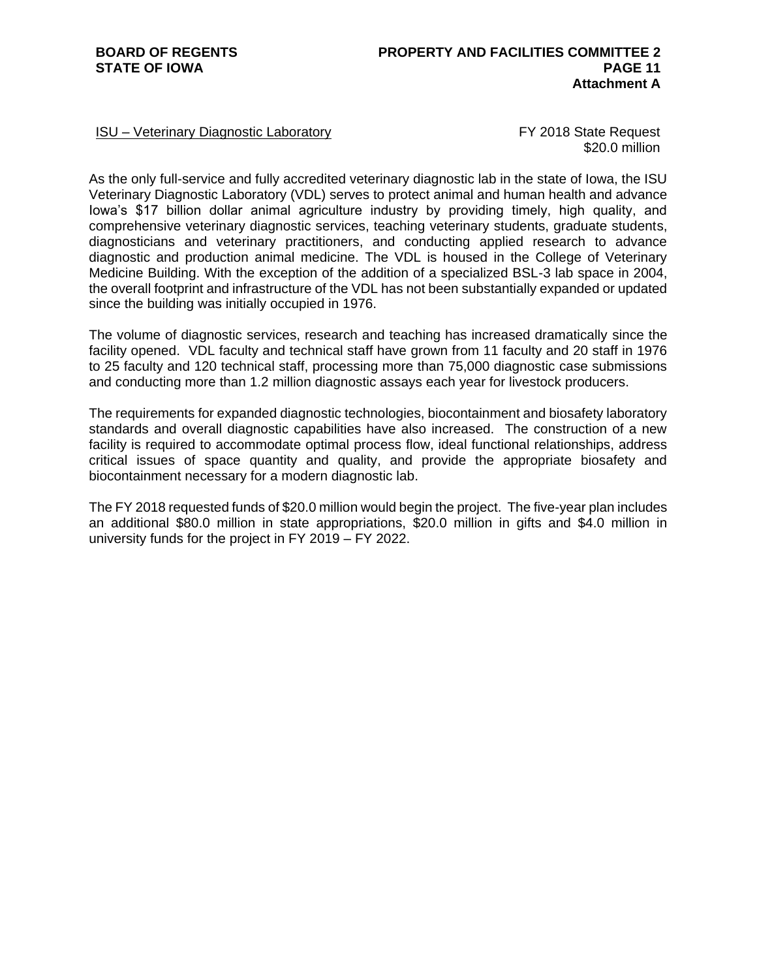## ISU – Veterinary Diagnostic Laboratory FY 2018 State Request

\$20.0 million

As the only full-service and fully accredited veterinary diagnostic lab in the state of Iowa, the ISU Veterinary Diagnostic Laboratory (VDL) serves to protect animal and human health and advance Iowa's \$17 billion dollar animal agriculture industry by providing timely, high quality, and comprehensive veterinary diagnostic services, teaching veterinary students, graduate students, diagnosticians and veterinary practitioners, and conducting applied research to advance diagnostic and production animal medicine. The VDL is housed in the College of Veterinary Medicine Building. With the exception of the addition of a specialized BSL-3 lab space in 2004, the overall footprint and infrastructure of the VDL has not been substantially expanded or updated since the building was initially occupied in 1976.

The volume of diagnostic services, research and teaching has increased dramatically since the facility opened. VDL faculty and technical staff have grown from 11 faculty and 20 staff in 1976 to 25 faculty and 120 technical staff, processing more than 75,000 diagnostic case submissions and conducting more than 1.2 million diagnostic assays each year for livestock producers.

The requirements for expanded diagnostic technologies, biocontainment and biosafety laboratory standards and overall diagnostic capabilities have also increased. The construction of a new facility is required to accommodate optimal process flow, ideal functional relationships, address critical issues of space quantity and quality, and provide the appropriate biosafety and biocontainment necessary for a modern diagnostic lab.

The FY 2018 requested funds of \$20.0 million would begin the project. The five-year plan includes an additional \$80.0 million in state appropriations, \$20.0 million in gifts and \$4.0 million in university funds for the project in FY 2019 – FY 2022.